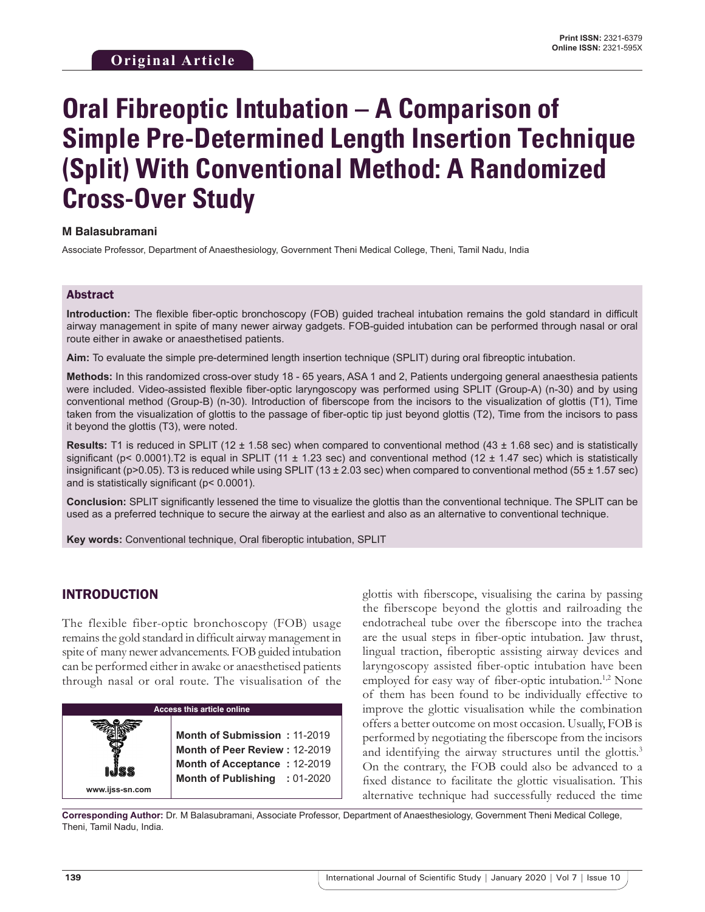# **Oral Fibreoptic Intubation – A Comparison of Simple Pre-Determined Length Insertion Technique (Split) With Conventional Method: A Randomized Cross-Over Study**

#### **M Balasubramani**

Associate Professor, Department of Anaesthesiology, Government Theni Medical College, Theni, Tamil Nadu, India

#### Abstract

**Introduction:** The flexible fiber-optic bronchoscopy (FOB) guided tracheal intubation remains the gold standard in difficult airway management in spite of many newer airway gadgets. FOB-guided intubation can be performed through nasal or oral route either in awake or anaesthetised patients.

**Aim:** To evaluate the simple pre-determined length insertion technique (SPLIT) during oral fibreoptic intubation.

**Methods:** In this randomized cross-over study 18 - 65 years, ASA 1 and 2, Patients undergoing general anaesthesia patients were included. Video-assisted flexible fiber-optic laryngoscopy was performed using SPLIT (Group-A) (n-30) and by using conventional method (Group-B) (n-30). Introduction of fiberscope from the incisors to the visualization of glottis (T1), Time taken from the visualization of glottis to the passage of fiber-optic tip just beyond glottis (T2), Time from the incisors to pass it beyond the glottis (T3), were noted.

**Results:** T1 is reduced in SPLIT (12 ± 1.58 sec) when compared to conventional method (43 ± 1.68 sec) and is statistically significant (p< 0.0001). T2 is equal in SPLIT (11  $\pm$  1.23 sec) and conventional method (12  $\pm$  1.47 sec) which is statistically insignificant (p>0.05). T3 is reduced while using SPLIT (13  $\pm$  2.03 sec) when compared to conventional method (55  $\pm$  1.57 sec) and is statistically significant (p< 0.0001).

**Conclusion:** SPLIT significantly lessened the time to visualize the glottis than the conventional technique. The SPLIT can be used as a preferred technique to secure the airway at the earliest and also as an alternative to conventional technique.

**Key words:** Conventional technique, Oral fiberoptic intubation, SPLIT

### INTRODUCTION

The flexible fiber-optic bronchoscopy (FOB) usage remains the gold standard in difficult airway management in spite of many newer advancements. FOB guided intubation can be performed either in awake or anaesthetised patients through nasal or oral route. The visualisation of the

**Access this article online www.ijss-sn.com Month of Submission :** 11-2019 **Month of Peer Review :** 12-2019 **Month of Acceptance :** 12-2019 **Month of Publishing :** 01-2020 glottis with fiberscope, visualising the carina by passing the fiberscope beyond the glottis and railroading the endotracheal tube over the fiberscope into the trachea are the usual steps in fiber-optic intubation. Jaw thrust, lingual traction, fiberoptic assisting airway devices and laryngoscopy assisted fiber-optic intubation have been employed for easy way of fiber-optic intubation.<sup>1,2</sup> None of them has been found to be individually effective to improve the glottic visualisation while the combination offers a better outcome on most occasion. Usually, FOB is performed by negotiating the fiberscope from the incisors and identifying the airway structures until the glottis.<sup>3</sup> On the contrary, the FOB could also be advanced to a fixed distance to facilitate the glottic visualisation. This alternative technique had successfully reduced the time

**Corresponding Author:** Dr. M Balasubramani, Associate Professor, Department of Anaesthesiology, Government Theni Medical College, Theni, Tamil Nadu, India.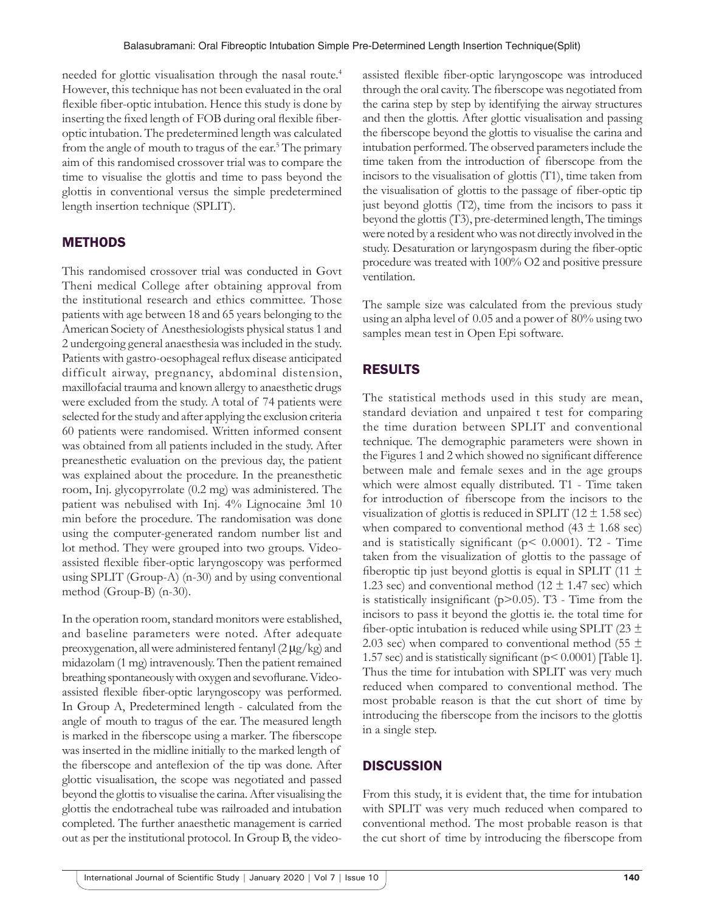needed for glottic visualisation through the nasal route.<sup>4</sup> However, this technique has not been evaluated in the oral flexible fiber-optic intubation. Hence this study is done by inserting the fixed length of FOB during oral flexible fiberoptic intubation. The predetermined length was calculated from the angle of mouth to tragus of the ear.<sup>5</sup> The primary aim of this randomised crossover trial was to compare the time to visualise the glottis and time to pass beyond the glottis in conventional versus the simple predetermined length insertion technique (SPLIT).

### **METHODS**

This randomised crossover trial was conducted in Govt Theni medical College after obtaining approval from the institutional research and ethics committee. Those patients with age between 18 and 65 years belonging to the American Society of Anesthesiologists physical status 1 and 2 undergoing general anaesthesia was included in the study. Patients with gastro-oesophageal reflux disease anticipated difficult airway, pregnancy, abdominal distension, maxillofacial trauma and known allergy to anaesthetic drugs were excluded from the study. A total of 74 patients were selected for the study and after applying the exclusion criteria 60 patients were randomised. Written informed consent was obtained from all patients included in the study. After preanesthetic evaluation on the previous day, the patient was explained about the procedure. In the preanesthetic room, Inj. glycopyrrolate (0.2 mg) was administered. The patient was nebulised with Inj. 4% Lignocaine 3ml 10 min before the procedure. The randomisation was done using the computer-generated random number list and lot method. They were grouped into two groups. Videoassisted flexible fiber-optic laryngoscopy was performed using SPLIT (Group-A) (n-30) and by using conventional method (Group-B) (n-30).

In the operation room, standard monitors were established, and baseline parameters were noted. After adequate preoxygenation, all were administered fentanyl  $(2 \mu g/kg)$  and midazolam (1 mg) intravenously. Then the patient remained breathing spontaneously with oxygen and sevoflurane. Videoassisted flexible fiber-optic laryngoscopy was performed. In Group A, Predetermined length - calculated from the angle of mouth to tragus of the ear. The measured length is marked in the fiberscope using a marker. The fiberscope was inserted in the midline initially to the marked length of the fiberscope and anteflexion of the tip was done. After glottic visualisation, the scope was negotiated and passed beyond the glottis to visualise the carina. After visualising the glottis the endotracheal tube was railroaded and intubation completed. The further anaesthetic management is carried out as per the institutional protocol. In Group B, the videoassisted flexible fiber‑optic laryngoscope was introduced through the oral cavity. The fiberscope was negotiated from the carina step by step by identifying the airway structures and then the glottis. After glottic visualisation and passing the fiberscope beyond the glottis to visualise the carina and intubation performed. The observed parameters include the time taken from the introduction of fiberscope from the incisors to the visualisation of glottis (T1), time taken from the visualisation of glottis to the passage of fiber-optic tip just beyond glottis (T2), time from the incisors to pass it beyond the glottis (T3), pre-determined length, The timings were noted by a resident who was not directly involved in the study. Desaturation or laryngospasm during the fiber-optic procedure was treated with 100% O2 and positive pressure ventilation.

The sample size was calculated from the previous study using an alpha level of 0.05 and a power of 80% using two samples mean test in Open Epi software.

### RESULTS

The statistical methods used in this study are mean, standard deviation and unpaired t test for comparing the time duration between SPLIT and conventional technique. The demographic parameters were shown in the Figures 1 and 2 which showed no significant difference between male and female sexes and in the age groups which were almost equally distributed. T1 - Time taken for introduction of fiberscope from the incisors to the visualization of glottis is reduced in SPLIT (12  $\pm$  1.58 sec) when compared to conventional method  $(43 \pm 1.68 \text{ sec})$ and is statistically significant ( $p$ < 0.0001). T2 - Time taken from the visualization of glottis to the passage of fiberoptic tip just beyond glottis is equal in SPLIT (11  $\pm$ 1.23 sec) and conventional method (12  $\pm$  1.47 sec) which is statistically insignificant ( $p$  $>$ 0.05). T<sub>3</sub> - Time from the incisors to pass it beyond the glottis ie. the total time for fiber-optic intubation is reduced while using SPLIT (23  $\pm$ 2.03 sec) when compared to conventional method (55  $\pm$ 1.57 sec) and is statistically significant (p< 0.0001) [Table 1]. Thus the time for intubation with SPLIT was very much reduced when compared to conventional method. The most probable reason is that the cut short of time by introducing the fiberscope from the incisors to the glottis in a single step.

### **DISCUSSION**

From this study, it is evident that, the time for intubation with SPLIT was very much reduced when compared to conventional method. The most probable reason is that the cut short of time by introducing the fiberscope from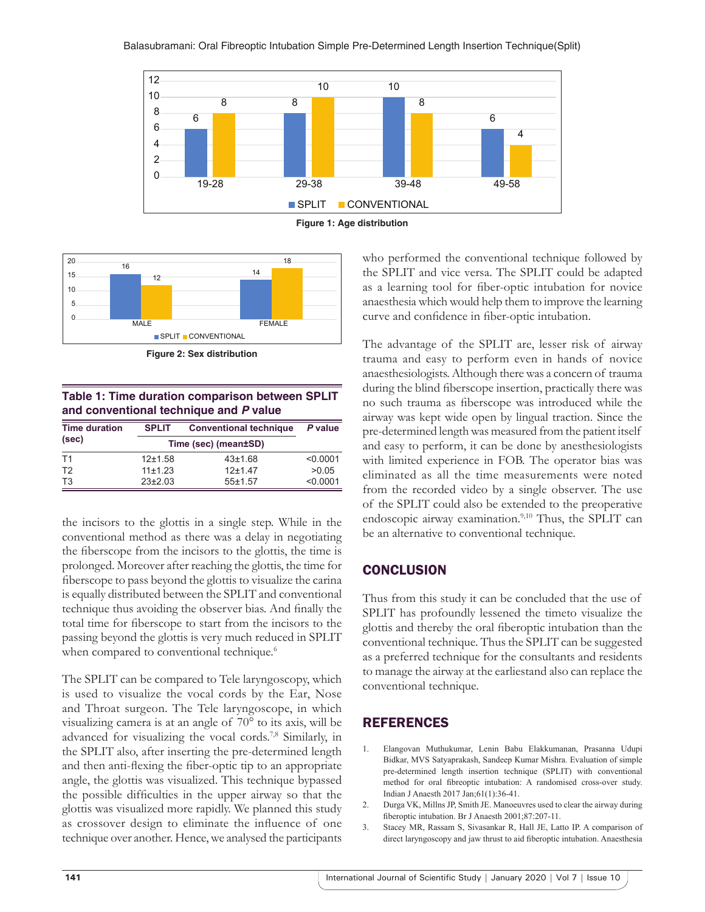





**Figure 2: Sex distribution**

| Table 1: Time duration comparison between SPLIT |  |  |  |  |
|-------------------------------------------------|--|--|--|--|
| and conventional technique and P value          |  |  |  |  |

| <b>Time duration</b><br>(sec) | <b>SPLIT</b>         | <b>Conventional technique</b> | P value  |
|-------------------------------|----------------------|-------------------------------|----------|
|                               | Time (sec) (mean±SD) |                               |          |
| T1                            | $12+1.58$            | 43±1.68                       | < 0.0001 |
| T <sub>2</sub>                | 11±1.23              | $12+147$                      | >0.05    |
| T <sub>3</sub>                | $23+2.03$            | 55±1.57                       | < 0.0001 |

the incisors to the glottis in a single step. While in the conventional method as there was a delay in negotiating the fiberscope from the incisors to the glottis, the time is prolonged. Moreover after reaching the glottis, the time for fiberscope to pass beyond the glottis to visualize the carina is equally distributed between the SPLIT and conventional technique thus avoiding the observer bias. And finally the total time for fiberscope to start from the incisors to the passing beyond the glottis is very much reduced in SPLIT when compared to conventional technique.<sup>6</sup>

The SPLIT can be compared to Tele laryngoscopy, which is used to visualize the vocal cords by the Ear, Nose and Throat surgeon. The Tele laryngoscope, in which visualizing camera is at an angle of 70° to its axis, will be advanced for visualizing the vocal cords.7,8 Similarly, in the SPLIT also, after inserting the pre‑determined length and then anti‑flexing the fiber‑optic tip to an appropriate angle, the glottis was visualized. This technique bypassed the possible difficulties in the upper airway so that the glottis was visualized more rapidly. We planned this study as crossover design to eliminate the influence of one technique over another. Hence, we analysed the participants who performed the conventional technique followed by the SPLIT and vice versa. The SPLIT could be adapted as a learning tool for fiber-optic intubation for novice anaesthesia which would help them to improve the learning curve and confidence in fiber-optic intubation.

The advantage of the SPLIT are, lesser risk of airway trauma and easy to perform even in hands of novice anaesthesiologists. Although there was a concern of trauma during the blind fiberscope insertion, practically there was no such trauma as fiberscope was introduced while the airway was kept wide open by lingual traction. Since the pre‑determined length was measured from the patient itself and easy to perform, it can be done by anesthesiologists with limited experience in FOB. The operator bias was eliminated as all the time measurements were noted from the recorded video by a single observer. The use of the SPLIT could also be extended to the preoperative endoscopic airway examination.<sup>9,10</sup> Thus, the SPLIT can be an alternative to conventional technique.

# **CONCLUSION**

Thus from this study it can be concluded that the use of SPLIT has profoundly lessened the timeto visualize the glottis and thereby the oral fiberoptic intubation than the conventional technique. Thus the SPLIT can be suggested as a preferred technique for the consultants and residents to manage the airway at the earliestand also can replace the conventional technique.

# **REFERENCES**

- 1. Elangovan Muthukumar, Lenin Babu Elakkumanan, Prasanna Udupi Bidkar, MVS Satyaprakash, Sandeep Kumar Mishra. Evaluation of simple pre-determined length insertion technique (SPLIT) with conventional method for oral fibreoptic intubation: A randomised cross-over study. Indian J Anaesth 2017 Jan;61(1):36-41.
- 2. Durga VK, Millns JP, Smith JE. Manoeuvres used to clear the airway during fiberoptic intubation. Br J Anaesth 2001;87:207-11.
- 3. Stacey MR, Rassam S, Sivasankar R, Hall JE, Latto IP. A comparison of direct laryngoscopy and jaw thrust to aid fiberoptic intubation. Anaesthesia